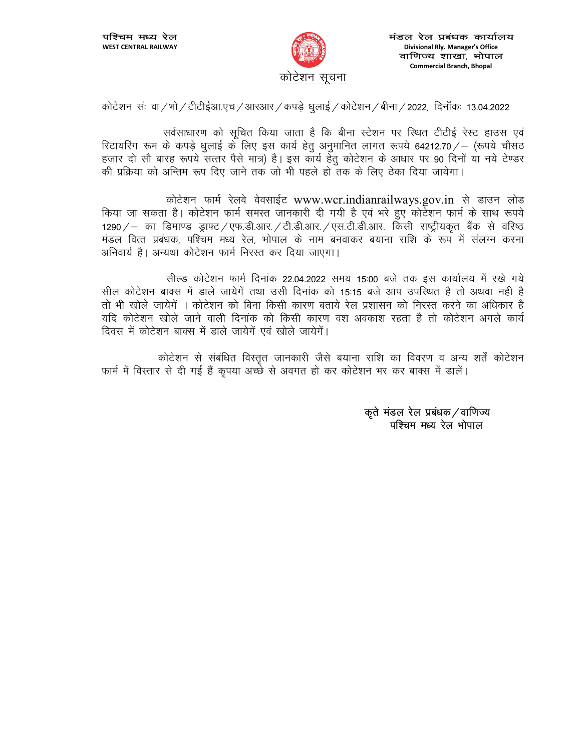

कोटेशन संः वा /भो / टीटीईआ.एच /आरआर / कपडे धुलाई / कोटेशन / बीना / 2022, दिनॉकः 13.04.2022

सर्वसाधारण को सुचित किया जाता है कि बीना स्टेशन पर स्थित टीटीई रेस्ट हाउस एवं रिटायरिंग रूम के कपड़े धुलाई के लिए इस कार्य हेतु अनुमानित लागत रूपये 64212.70 / – (रूपये चौसठ हजार दो सौ बारह रूपये सत्तर पैसे मात्र) है। इस कार्य हेतू कोटेशन के आधार पर 90 दिनों या नये टेण्डर की प्रक्रिया को अन्तिम रूप दिए जाने तक जो भी पहले हो तक के लिए ठेका दिया जायेगा।

कोटेशन फार्म रेलवे वेवसाईट www.wcr.indianrailways.gov.in से डाउन लोड किया जा सकता है। कोटेशन फार्म समस्त जानकारी दी गयी है एवं भरे हुए कोर्टेशन फार्म के साथ रूपये 1290 / – का डिमाण्ड ड्राफ्ट / एफ.डी.आर. / टी.डी.आर. / एस.टी.डी.आर. किसी राष्ट्रीयकृत बैंक से वरिष्ठ मंडल वित्त प्रबंधक, पश्चिम मध्य रेल, भोपाल के नाम बनवाकर बयाना राशि के रूप में संलग्न करना अनिवार्य है। अन्यथा कोटेशन फार्म निरस्त कर दिया जाएगा।

सील्ड कोटेशन फार्म दिनांक 22.04.2022 समय 15:00 बजे तक इस कार्यालय में रखे गये सील कोटेशन बाक्स में डाले जायेगें तथा उसी दिनांक को 15:15 बजे आप उपस्थित है तो अथवा नही है तो भी खोले जायेगें । कोटेशन को बिना किसी कारण बताये रेल प्रशासन को निरस्त करने का अधिकार है यदि कोटेशन खोले जाने वाली दिनांक को किसी कारण वश अवकाश रहता है तो कोटेशन अगले कार्य दिवस में कोटेशन बाक्स में डाले जायेगें एवं खोले जायेगें।

कोटेशन से संबंधित विस्तृत जानकारी जैसे बयाना राशि का विवरण व अन्य शर्तें कोटेशन फार्म में विस्तार से दी गई हैं कृपया अच्छे से अवगत हो कर कोटेशन भर कर बाक्स में डालें।

> कृते मंडल रेल प्रबंधक / वाणिज्य पश्चिम मध्य रेल भोपाल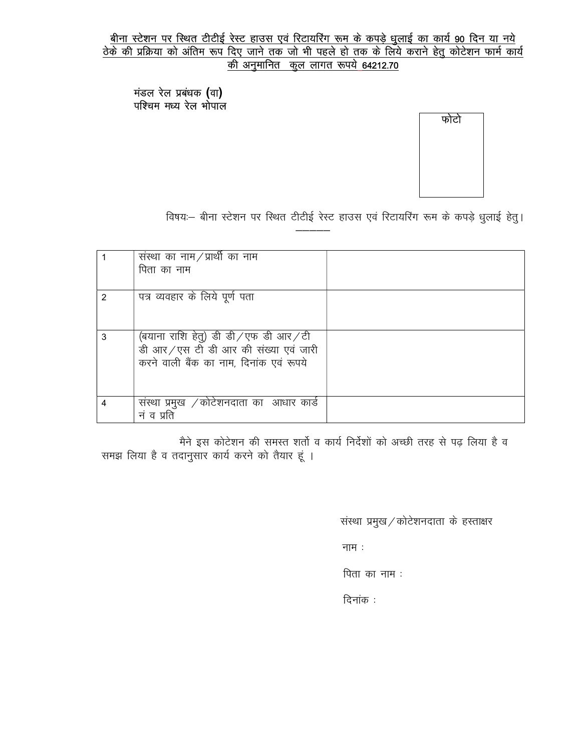# <u>बीना स्टेशन पर स्थित टीटीई रेस्ट हाउस एवं रिटायरिंग रूम के कपड़े धुलाई का कार्य 90 दिन या नये</u><br><u>ठेके की प्रक्रिया को अंतिम रूप दिए जाने तक जो भी पहले हो तक के लिये कराने हेतु कोटेशन फार्म कार्य</u> की अनुमानित कुल लागत रूपये 64212.70

मंडल रेल प्रबंधक (वा)<br>पश्चिम मध्य रेल भोपाल

फोटो

विषयः- बीना स्टेशन पर स्थित टीटीई रेस्ट हाउस एवं रिटायरिंग रूम के कपड़े धुलाई हेतु।

|   | संस्था का नाम $/$ प्रार्थी का नाम       |  |
|---|-----------------------------------------|--|
|   | पिता का नाम                             |  |
|   |                                         |  |
| 2 | पत्र व्यवहार के लिये पूर्ण पता          |  |
|   |                                         |  |
|   |                                         |  |
| 3 | (बयाना राशि हेतु) डी डी/एफ डी आर/टी     |  |
|   | डी आर/एस टी डी आर की संख्या एवं जारी    |  |
|   | करने वाली बैंक का नाम, दिनांक एवं रूपये |  |
|   |                                         |  |
|   |                                         |  |
|   |                                         |  |
| 4 | सस्था प्रमुख ⁄कोटेशनदाता का आधार कार्ड  |  |
|   | नं व प्रति                              |  |

मैने इस कोटेशन की समस्त शर्तो व कार्य निर्देशों को अच्छी तरह से पढ़ लिया है व समझ लिया है व तदानुसार कार्य करने को तैयार हूं ।

संस्था प्रमुख / कोटेशनदाता के हस्ताक्षर

नाम $:$ 

पिता का नाम :

दिनांक :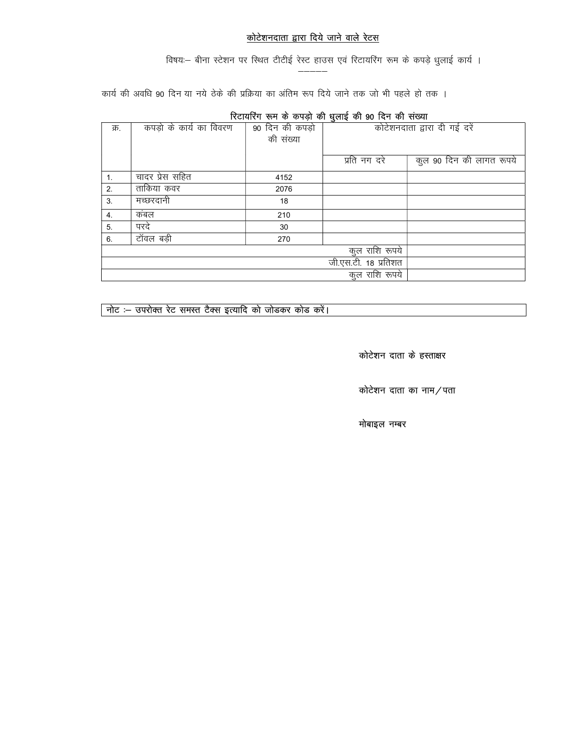## <u>कोटेशनदाता द्वारा दिये जाने वाले रेटस</u>

विषयः- बीना स्टेशन पर स्थित टीटीई रेस्ट हाउस एवं रिटायरिंग रूम के कपड़े धुलाई कार्य ।

कार्य की अवधि 90 दिन या नये ठेके की प्रक्रिया का अंतिम रूप दिये जाने तक जो भी पहले हो तक ।

| <b>TO HERE IN THE SHIP WAS THE SECOND TO THE THAT ALCOHOL</b> |                         |                 |                              |                          |  |
|---------------------------------------------------------------|-------------------------|-----------------|------------------------------|--------------------------|--|
| क्र.                                                          | कपड़ो के कार्य का विवरण | 90 दिन की कपड़ो | कोटेशनदाता द्वारा दी गई दरें |                          |  |
|                                                               |                         | की संख्या       |                              |                          |  |
|                                                               |                         |                 |                              |                          |  |
|                                                               |                         |                 | प्रति नग दरे                 | कुल 90 दिन की लागत रूपये |  |
| 1.                                                            | चादर प्रेस सहित         | 4152            |                              |                          |  |
| 2.                                                            | ताकिया कवर              | 2076            |                              |                          |  |
| 3.                                                            | मच्छरदानी               | 18              |                              |                          |  |
| 4.                                                            | कंबल                    | 210             |                              |                          |  |
| 5.                                                            | परदे                    | 30              |                              |                          |  |
| 6.                                                            | टॉवल बड़ी               | 270             | कुल राशि रूपये               |                          |  |
|                                                               |                         |                 |                              |                          |  |
|                                                               |                         |                 | जी.एस.टी. 18 प्रतिशत         |                          |  |
| कूल राशि रूपये                                                |                         |                 |                              |                          |  |

## रिटायरिंग रूम के कपड़ो की धलाई की 90 दिन की संख्या

नोट :- उपरोक्त रेट समस्त टैक्स इत्यादि को जोडकर कोड करें।

कोटेशन दाता के हस्ताक्षर

कोटेशन दाता का नाम/पता

मोबाइल नम्बर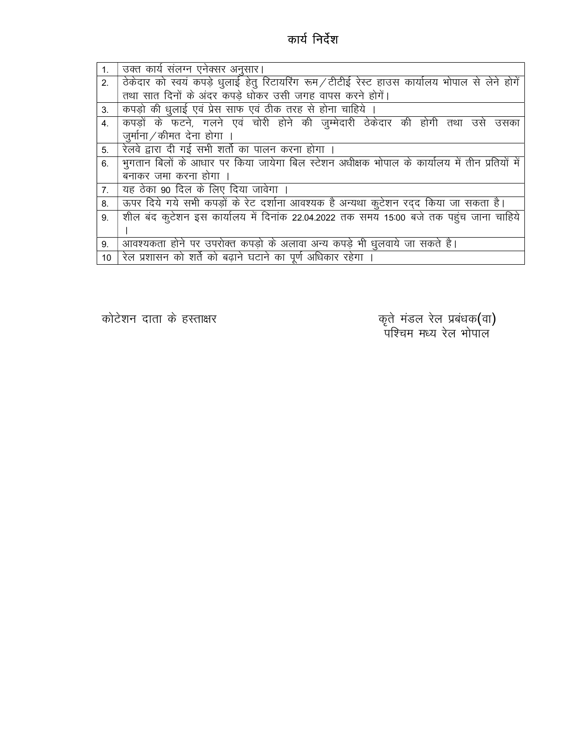## कार्य निर्देश

| 1. | उक्त कार्य संलग्न एनेक्सर अनुसार।                                                             |
|----|-----------------------------------------------------------------------------------------------|
| 2. | ठेकेदार को स्वयं कपड़े धुलाई हेतु रिटायरिंग रूम/टीटीई रेस्ट हाउस कार्यालय भोपाल से लेने होगें |
|    | तथा सात दिनों के अंदर कपड़े धोकर उसी जगह वापस करने होगें।                                     |
| 3. | कपड़ो की धुलाई एवं प्रेस साफ एवं ठीक तरह से होना चाहिये ।                                     |
| 4. | कपड़ों के फटने, गलने एवं चोरी होने की जुम्मेदारी ठेकेदार की होगी तथा उसे उसका                 |
|    | जुर्माना/कीमत देना होगा ।                                                                     |
| 5. | रिलवे द्वारा दी गई सभी शर्तो का पालन करना होगा ।                                              |
| 6. | भुगतान बिलों के आधार पर किया जायेगा बिल स्टेशन अधीक्षक भोपाल के कार्यालय में तीन प्रतियों में |
|    | बनाकर जमा करना होगा ।                                                                         |
| 7. | यह ठेका 90 दिल के लिए दिया जावेगा ।                                                           |
| 8. | ऊपर दिये गये सभी कपड़ों के रेट दर्शाना आवश्यक है अन्यथा कुटेशन रद्द किया जा सकता है।          |
| 9. | शील बंद कूटेशन इस कार्यालय में दिनांक 22.04.2022 तक समय 15:00 बजे तक पहुंच जाना चाहिये        |
|    |                                                                                               |
| 9. | आवश्यकता होने पर उपरोक्त कपड़ो के अलावा अन्य कपड़े भी धुलवाये जा सकते है।                     |
| 10 | रेल प्रशासन को शर्ते को बढ़ाने घटाने का पूर्ण अधिकार रहेगा                                    |

कोटेशन दाता के हस्ताक्षर

कृते मंडल रेल प्रबंधक**(**वा**)**<br>पश्चिम मध्य रेल भोपाल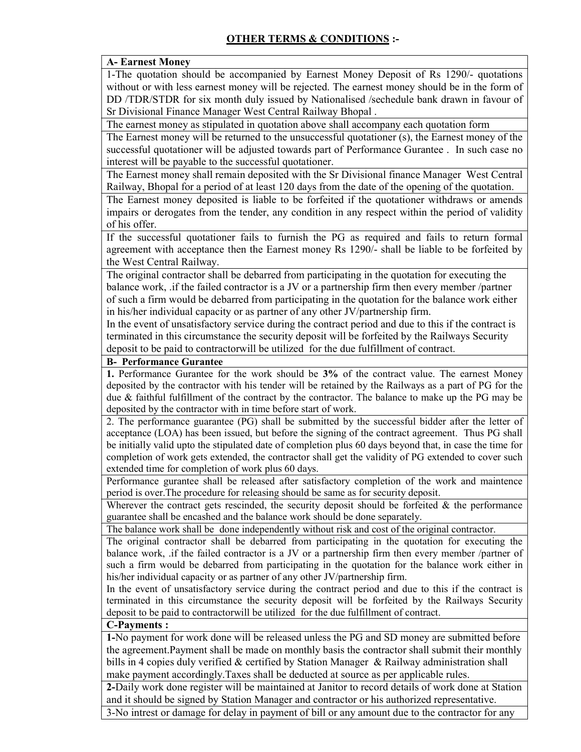#### A- Earnest Money

1-The quotation should be accompanied by Earnest Money Deposit of Rs 1290/- quotations without or with less earnest money will be rejected. The earnest money should be in the form of DD /TDR/STDR for six month duly issued by Nationalised /sechedule bank drawn in favour of Sr Divisional Finance Manager West Central Railway Bhopal .

The earnest money as stipulated in quotation above shall accompany each quotation form

The Earnest money will be returned to the unsuccessful quotationer (s), the Earnest money of the successful quotationer will be adjusted towards part of Performance Gurantee . In such case no interest will be payable to the successful quotationer.

The Earnest money shall remain deposited with the Sr Divisional finance Manager West Central Railway, Bhopal for a period of at least 120 days from the date of the opening of the quotation.

The Earnest money deposited is liable to be forfeited if the quotationer withdraws or amends impairs or derogates from the tender, any condition in any respect within the period of validity of his offer.

If the successful quotationer fails to furnish the PG as required and fails to return formal agreement with acceptance then the Earnest money Rs 1290/- shall be liable to be forfeited by the West Central Railway.

The original contractor shall be debarred from participating in the quotation for executing the balance work, .if the failed contractor is a JV or a partnership firm then every member /partner of such a firm would be debarred from participating in the quotation for the balance work either in his/her individual capacity or as partner of any other JV/partnership firm.

In the event of unsatisfactory service during the contract period and due to this if the contract is terminated in this circumstance the security deposit will be forfeited by the Railways Security deposit to be paid to contractorwill be utilized for the due fulfillment of contract.

#### B- Performance Gurantee

1. Performance Gurantee for the work should be 3% of the contract value. The earnest Money deposited by the contractor with his tender will be retained by the Railways as a part of PG for the due & faithful fulfillment of the contract by the contractor. The balance to make up the PG may be deposited by the contractor with in time before start of work.

2. The performance guarantee (PG) shall be submitted by the successful bidder after the letter of acceptance (LOA) has been issued, but before the signing of the contract agreement. Thus PG shall be initially valid upto the stipulated date of completion plus 60 days beyond that, in case the time for completion of work gets extended, the contractor shall get the validity of PG extended to cover such extended time for completion of work plus 60 days.

Performance gurantee shall be released after satisfactory completion of the work and maintence period is over.The procedure for releasing should be same as for security deposit.

Wherever the contract gets rescinded, the security deposit should be forfeited  $\&$  the performance guarantee shall be encashed and the balance work should be done separately.

The balance work shall be done independently without risk and cost of the original contractor.

The original contractor shall be debarred from participating in the quotation for executing the balance work, .if the failed contractor is a JV or a partnership firm then every member /partner of such a firm would be debarred from participating in the quotation for the balance work either in his/her individual capacity or as partner of any other JV/partnership firm.

In the event of unsatisfactory service during the contract period and due to this if the contract is terminated in this circumstance the security deposit will be forfeited by the Railways Security deposit to be paid to contractorwill be utilized for the due fulfillment of contract.

#### C-Payments :

1-No payment for work done will be released unless the PG and SD money are submitted before the agreement.Payment shall be made on monthly basis the contractor shall submit their monthly bills in 4 copies duly verified & certified by Station Manager & Railway administration shall make payment accordingly.Taxes shall be deducted at source as per applicable rules.

2-Daily work done register will be maintained at Janitor to record details of work done at Station and it should be signed by Station Manager and contractor or his authorized representative. 3-No intrest or damage for delay in payment of bill or any amount due to the contractor for any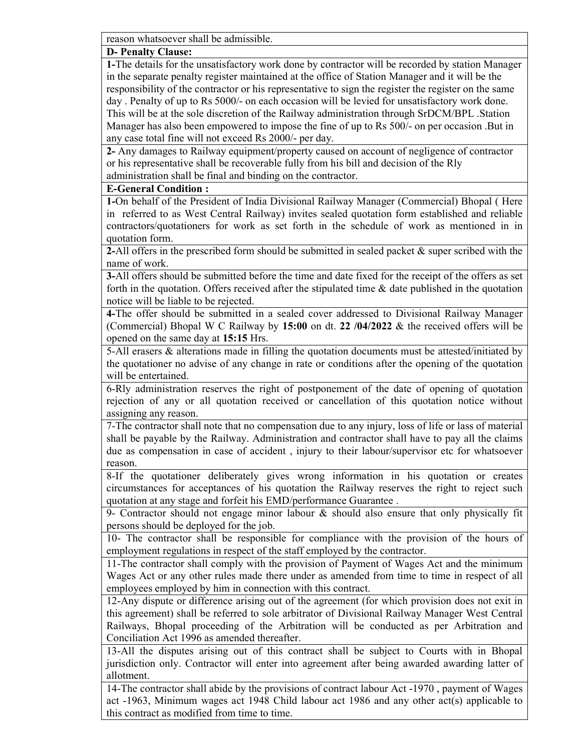reason whatsoever shall be admissible.

#### D- Penalty Clause:

1-The details for the unsatisfactory work done by contractor will be recorded by station Manager in the separate penalty register maintained at the office of Station Manager and it will be the responsibility of the contractor or his representative to sign the register the register on the same day . Penalty of up to Rs 5000/- on each occasion will be levied for unsatisfactory work done. This will be at the sole discretion of the Railway administration through SrDCM/BPL .Station Manager has also been empowered to impose the fine of up to Rs 500/- on per occasion .But in any case total fine will not exceed Rs 2000/- per day.

2- Any damages to Railway equipment/property caused on account of negligence of contractor or his representative shall be recoverable fully from his bill and decision of the Rly administration shall be final and binding on the contractor.

#### E-General Condition :

1-On behalf of the President of India Divisional Railway Manager (Commercial) Bhopal ( Here in referred to as West Central Railway) invites sealed quotation form established and reliable contractors/quotationers for work as set forth in the schedule of work as mentioned in in quotation form.

2-All offers in the prescribed form should be submitted in sealed packet & super scribed with the name of work.

3-All offers should be submitted before the time and date fixed for the receipt of the offers as set forth in the quotation. Offers received after the stipulated time  $\&$  date published in the quotation notice will be liable to be rejected.

4-The offer should be submitted in a sealed cover addressed to Divisional Railway Manager (Commercial) Bhopal W C Railway by 15:00 on dt. 22  $/04/2022$  & the received offers will be opened on the same day at 15:15 Hrs.

5-All erasers & alterations made in filling the quotation documents must be attested/initiated by the quotationer no advise of any change in rate or conditions after the opening of the quotation will be entertained.

6-Rly administration reserves the right of postponement of the date of opening of quotation rejection of any or all quotation received or cancellation of this quotation notice without assigning any reason.

7-The contractor shall note that no compensation due to any injury, loss of life or lass of material shall be payable by the Railway. Administration and contractor shall have to pay all the claims due as compensation in case of accident , injury to their labour/supervisor etc for whatsoever reason.

8-If the quotationer deliberately gives wrong information in his quotation or creates circumstances for acceptances of his quotation the Railway reserves the right to reject such quotation at any stage and forfeit his EMD/performance Guarantee .

9- Contractor should not engage minor labour & should also ensure that only physically fit persons should be deployed for the job.

10- The contractor shall be responsible for compliance with the provision of the hours of employment regulations in respect of the staff employed by the contractor.

11-The contractor shall comply with the provision of Payment of Wages Act and the minimum Wages Act or any other rules made there under as amended from time to time in respect of all employees employed by him in connection with this contract.

12-Any dispute or difference arising out of the agreement (for which provision does not exit in this agreement) shall be referred to sole arbitrator of Divisional Railway Manager West Central Railways, Bhopal proceeding of the Arbitration will be conducted as per Arbitration and Conciliation Act 1996 as amended thereafter.

13-All the disputes arising out of this contract shall be subject to Courts with in Bhopal jurisdiction only. Contractor will enter into agreement after being awarded awarding latter of allotment.

14-The contractor shall abide by the provisions of contract labour Act -1970 , payment of Wages act -1963, Minimum wages act 1948 Child labour act 1986 and any other act(s) applicable to this contract as modified from time to time.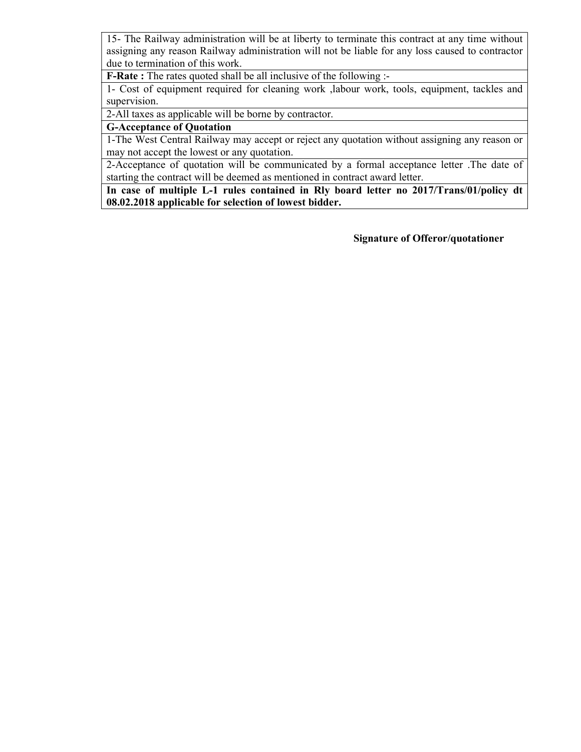15- The Railway administration will be at liberty to terminate this contract at any time without assigning any reason Railway administration will not be liable for any loss caused to contractor due to termination of this work.

F-Rate : The rates quoted shall be all inclusive of the following :-

1- Cost of equipment required for cleaning work ,labour work, tools, equipment, tackles and supervision.

2-All taxes as applicable will be borne by contractor.

#### G-Acceptance of Quotation

1-The West Central Railway may accept or reject any quotation without assigning any reason or may not accept the lowest or any quotation.

2-Acceptance of quotation will be communicated by a formal acceptance letter .The date of starting the contract will be deemed as mentioned in contract award letter.

In case of multiple L-1 rules contained in Rly board letter no 2017/Trans/01/policy dt 08.02.2018 applicable for selection of lowest bidder.

Signature of Offeror/quotationer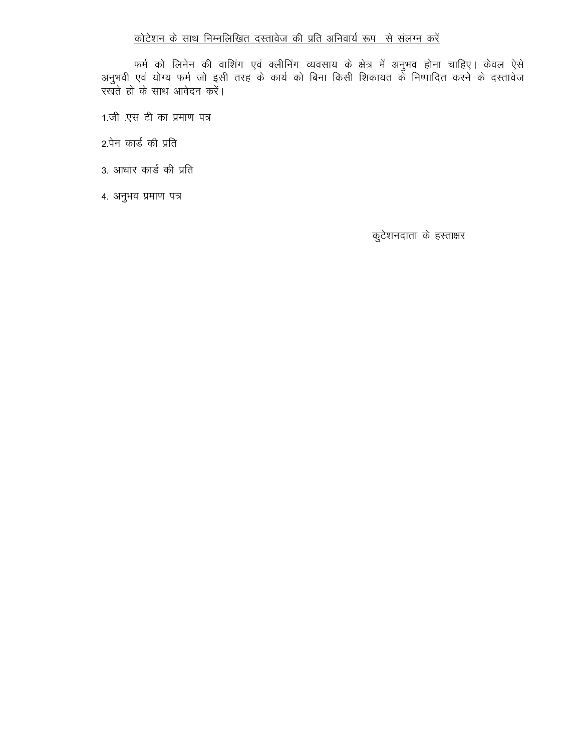## कोटेशन के साथ निम्नलिखित दस्तावेज की प्रति अनिवार्य रूप से संलग्न करें

फर्म को लिनेन की वाशिंग एवं क्लीनिंग व्यवसाय के क्षेत्र में अनुभव होना चाहिए। केवल ऐसे<br>अनुभवी एवं योग्य फर्म जो इसी तरह के कार्य को बिना किसी शिकायत के निष्पादित करने के दस्तावेज<br>रखते हो के साथ आवेदन करें।

- 1.जी एस टी का प्रमाण पत्र
- 2.पेन कार्ड की प्रति
- 3. आधार कार्ड की प्रति
- 4. अनुभव प्रमाण पत्र

कुटेशनदाता के हस्ताक्षर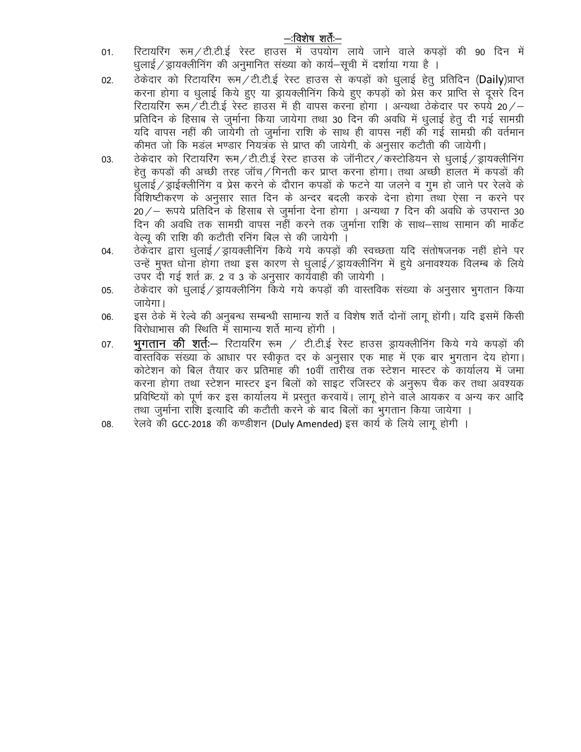## —विशेष शर्तें—

- रिटायरिंग रूम / टी.टी.ई रेस्ट हाउस में उपयोग लाये जाने वाले कपड़ों की 90 दिन में 01. धुलाई / ड्रायक्लीनिंग की अनुमानित संख्या को कार्य—सूची में दर्शाया गया है ।
- $02.$ करना होगा व धुलाई किये हुए या ड्रायक्लीनिंग किये हुए कपड़ों को प्रेस कर प्राप्ति से दूसरे दिन रिटायरिंग रूम टी.टी.ई रेस्ट हाउस में ही वापस करना होगा । अन्यथा ठेकेदार पर रुपये 20 / -प्रतिदिन के हिसाब से जुर्माना किया जायेगा तथा 30 दिन की अवधि में धृलाई हेतु दी गई सामग्री यदि वापस नहीं की जायेगी तो जुर्माना राशि के साथ ही वापस नहीं की गई सामग्री की वर्तमान कीमत जो कि मड़ल भण्डार नियत्रक से प्राप्त की जायेगी, के अनुसार कटौती की जायेगी।
- ठेकेदार को रिटायरिंग रूम/टी.टी.ई रेस्ट हाउस के जॉनीटर/कर्स्टोडियन से धूलाई/ड्रायक्लीनिंग 03. हेतू कपड़ों की अच्छी तरह जॉच/गिनती कर प्राप्त करना होगा। तथा अच्छी हालत में कपड़ों की धुलाई / ड्राईक्लीनिंग व प्रेस करने के दौरान कपड़ों के फटने या जलने व गुम हो जाने पर रेलवे के विशिष्टीकरण के अनुसार सात दिन के अन्दर बदली करके देना होगा तथा ऐसा न करने पर  $20$  / – रूपये प्रतिदिन के हिसाब से जुर्माना देना होगा । अन्यथा 7 दिन की अवधि के उपरान्त 30 दिन की अवधि तक सामग्री वापस नहीं करने तक जुर्माना राशि के साथ—साथ सामान की मार्केट वेल्य की राशि की कटौती रनिंग बिल से की जायेगी ।
- .<br>ठेकेंदार द्वारा धूलाई / ड्रायक्लीनिंग किये गये कपडों की स्वच्छता यदि संतोषजनक नहीं होने पर 04. उन्हें मुफ्त धोना होगा तथा इस कारण से धूलाई / ड्रायक्लीनिंग में हुये अनावश्यक विलम्ब के लिये उपर दी गई शर्त क्र. 2 व 3 के अनुसार कार्यवाही की जायेगी ।
- ठेकेदार को धलाई / ड्रायक्लीनिंग किये गये कपड़ों की वास्तविक संख्या के अनुसार भगतान किया 05. जायेगा।
- इस ठेके में रेल्वे की अनुबन्ध सम्बन्धी सामान्य शर्ते व विशेष शर्ते दोनों लागू होंगी। यदि इसमें किसी 06. विरोधाभास की स्थिति में सामान्य शर्ते मान्य होंगी ।
- भूगतान की शर्तः— रिटायरिंग रूम / टी.टी.ई रेस्ट हाउस ड्रायक्लीनिंग किये गये कपड़ों की 07. वास्तविक संख्या के आधार पर स्वीकृत दर के अनुसार एक माह में एक बार भूगतान देय होगा। कोटेशन को बिल तैयार कर प्रतिमाह की 10वीं तारीख तक स्टेशन मास्टर के कार्यालय में जमा करना होगा तथा स्टेशन मास्टर इन बिलों को साइट रजिस्टर के अनुरूप चैक कर तथा अवश्यक प्रविष्टियों को पूर्ण कर इस कार्यालय में प्रस्तुत करवायें। लागू होने वाले आयकर व अन्य कर आदि तथा जुर्माना राशि इत्यादि की कटौती करने के बाद बिलों का भुगतान किया जायेगा ।
- रेलवे की GCC-2018 की कण्डीशन (Duly Amended) इस कार्य के लिये लागू होगी । 08.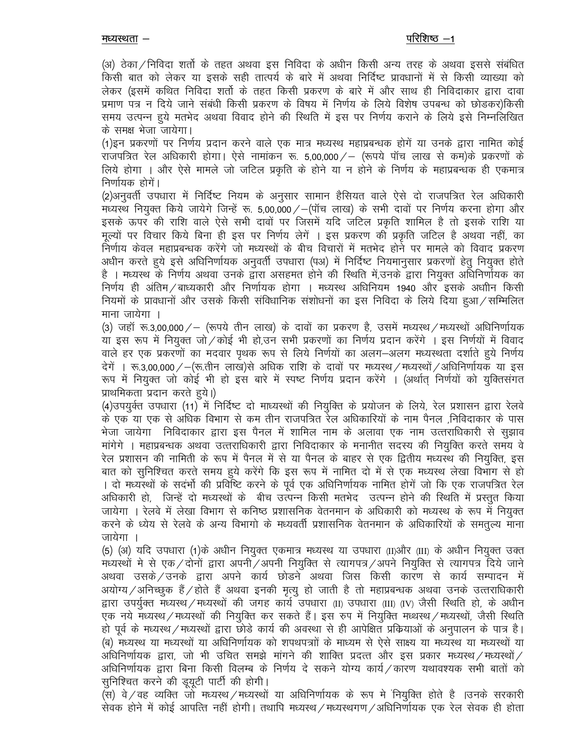(अ) ठेका ⁄ निविदा शर्तो के तहत अथवा इस निविदा के अधीन किसी अन्य तरह के अथवा इससे संबंधित किसी बात को लेकर या इसके सही तात्पर्य के बारे में अथवा निर्दिष्ट प्रावधानों में से किसी व्याख्या को लेकर (इसमें कथित निविदा शर्तो के तहत किसी प्रकरण के बारे में और साथ ही निविदाकार द्वारा दावा प्रमाण पत्र न दिये जाने संबंधी किसी प्रकरण के विषय में निर्णय के लिये विशेष उपबन्ध को छोड़कर)किसी समय उत्पन्न हये मतभेद अथवा विवाद होने की स्थिति में इस पर निर्णय कराने के लिये इसे निम्नलिखित के समक्ष भेजा जायेगा।

(1)इन प्रकरणों पर निर्णय प्रदान करने वाले एक मात्र मध्यस्थ महाप्रबन्धक होगें या उनके द्वारा नामित कोई राजपत्रित रेल अधिकारी होगा। ऐसे नामांकन रू. 5,00,000 / – (रूपये पॉच लाख से कम)के प्रकरणों के लिये होगा । और ऐसे मामले जो जटिल प्रकृति के होने या न होने के निर्णय के महाप्रबन्धक ही एकमात्र निर्णायक होगें।

(2)अनुवर्ती उपधारा में निर्दिष्ट नियम के अनुसार सामान हैसियत वाले ऐसे दो राजपत्रित रेल अधिकारी मध्यस्थ नियुक्त किये जायेगे जिन्हें रू. 5,00,000 / - (पॉच लाख) के सभी दावों पर निर्णय करना होगा और इसके ऊपर की राशि वाले ऐसे सभी दावों पर जिसमें यदि जटिल प्रकृति शामिल है तो इसके राशि या मुल्यों पर विचार किये बिना ही इस पर निर्णय लेगें । इस प्रकरण की प्रकृति जटिल है अथवा नहीं, का निर्णाय केवल महाप्रबन्धक करेंगे जो मध्यस्थों के बीच विचारों में मतभेद होने पर मामले को विवाद प्रकरण अधीन करते हुये इसे अधिनिर्णायक अनुवर्ती उपधारा (पअ) में निर्दिष्ट नियमानुसार प्रकरणों हेतु नियुक्त होते है । मध्यस्थ के निर्णय अथवा उनके द्वारा असहमत होने की स्थिति में,उनके द्वारा नियुक्त अधिनिर्णायक का निर्णय ही अंतिम / बाध्यकारी और निर्णायक होगा । मध्यस्थ अधिनियम 1940 और इसके अधाीन किसी नियमों के प्रावधानों और उसके किसी संविधानिक संशोधनों का इस निविदा के लिये दिया हुआ/सम्मिलित माना जायेगा ।

(3) जहाँ रू.3,00,000/ – (रूपये तीन लाख) के दावों का प्रकरण है, उसमें मध्यस्थ/मध्यस्थों अधिनिर्णायक या इस रूप में नियुक्त जो / कोई भी हो,उन सभी प्रकरणों का निर्णय प्रदान करेंगे । इस निर्णयों में विवाद वाले हर एक प्रकरणों का मदवार पृथक रूप से लिये निर्णयों का अलग–अलग मध्यस्थता दर्शाते हुये निर्णय देगें । रू.3,00,000 / - (रू.तीन लाख)से अधिक राशि के दावों पर मध्यस्थ / मध्यस्थों / अधिनिर्णायक या इस रूप में नियुक्त जो कोई भी हो इस बारे में स्पष्ट निर्णय प्रदान करेंगे । (अर्थात् निर्णयों को युक्तिसंगत प्राथमिकता प्रदान करते हये।)

(4)उपयुर्क्त उपधारा (11) में निर्दिष्ट दो माध्यस्थों की नियुक्ति के प्रयोजन के लिये, रेल प्रशासन द्वारा रेलवे के एक या एक से अधिक विभाग से कम तीन राजपत्रित रेल अधिकारियों के नाम पैनल ,निविदाकार के पास भेजा जायेगा निविदाकार द्वारा इस पैनल में शामिल नाम के अलावा एक नाम उत्तराधिकारी से सूझाव मांगेगे । महाप्रबन्धक अथवा उत्तराधिकारी द्वारा निविदाकार के मनानीत सदस्य की नियक्ति करते समय वे रेल प्रशासन की नामिती के रूप में पैनल में से या पैनल के बाहर से एक द्वितीय मध्यस्थ की नियुक्ति, इस बात को सुनिश्चित करते समय हुये करेंगे कि इस रूप में नामित दो में से एक मध्यस्थ लेखा विभाग से हो । दो मध्यस्थों के सदर्भो की प्रविष्टि करने के पूर्व एक अधिनिर्णायक नामित होगें जो कि एक राजपत्रित रेल अधिकारी हो, जिन्हें दो मध्यस्थों के बीच उत्पन्न किसी मतभेद उत्पन्न होने की स्थिति में प्रस्तुत किया जायेगा । रेलवे में लेखा विभाग से कनिष्ठ प्रशासनिक वेतनमान के अधिकारी को मध्यस्थ के रूप में नियुक्त करने के ध्येय से रेलवे के अन्य विभागो के मध्यवर्ती प्रशासनिक वेतनमान के अधिकारियों के समतुल्य माना जायेगा ।

(5) (अ) यदि उपधारा (1)के अधीन नियुक्त एकमात्र मध्यस्थ या उपधारा (II)और (III) के अधीन नियुक्त उक्त मध्यस्थों मे से एक/दोनों द्वारा अपनी/अपनी नियुक्ति से त्यागपत्र/अपने नियुक्ति से त्यागपत्र दिये जाने अथवा उसके / उनके द्वारा अपने कार्य छोडने अथवा जिस किसी कारण से कार्य सम्पादन में अयोग्य /अनिच्छुक हैं / होते हैं अथवा इनकी मृत्यु हो जाती है तो महाप्रबन्धक अथवा उनके उत्तराधिकारी द्वारा उपर्युक्त मध्यस्थ/मध्यस्थों की जगह कार्य उपधारा (II) उपधारा (III) (IV) जैसी स्थिति हो, के अधीन एक नये मध्यस्थ/मध्यस्थों की नियुक्ति कर सकते हैं। इस रुप में नियुक्ति मध्थस्थ/मध्यस्थों, जैसी स्थिति हो पूर्व के मध्यस्थ / मध्यस्थों द्वारा छोड़े कार्य की अवस्था से ही आपेक्षित प्रक्रियाओं के अनुपालन के पात्र है। (ब) मध्यस्थ या मध्यस्थों या अधिनिर्णायक को शपथपत्राों के माध्यम से ऐसे साक्ष्य या मध्यस्थ या मध्यस्थों या अधिनिर्णायक द्वारा, जो भी उचित समझे मांगने की शाक्ति प्रदत्त और इस प्रकार मध्यस्थ/मध्यस्थों/ अधिनिर्णायक द्वारा बिना किसी विलम्ब के निर्णय दे सकने योग्य कार्य ⁄ कारण यथावश्यक सभी बातों को सुनिश्चित करने की डूयूटी पार्टी की होगी।

(स) वे / वह व्यक्ति जो मध्यस्थ / मध्यस्थों या अधिनिर्णायक के रूप मे नियुक्ति होते है ।उनके सरकारी सेवक होने में कोई आपत्ति नहीं होगी। तथापि मध्यस्थ/मध्यस्थगण/अधिनिर्णायक एक रेल सेवक ही होता